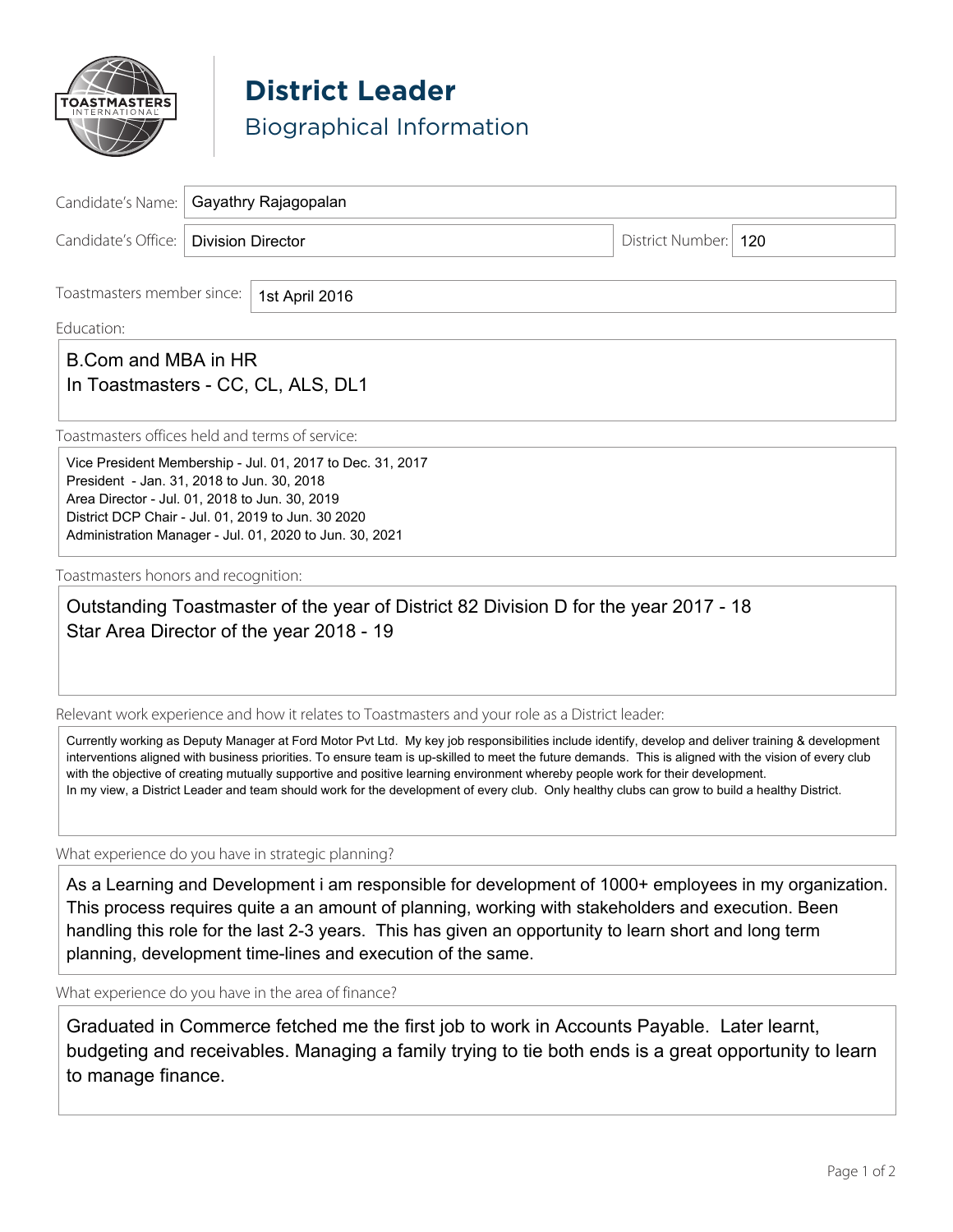

**District Leader** Biographical Information

|                                         | Candidate's Name:   Gayathry Rajagopalan |                      |  |
|-----------------------------------------|------------------------------------------|----------------------|--|
| Candidate's Office:   Division Director |                                          | District Number: 120 |  |
|                                         |                                          |                      |  |

Toastmasters member since:

1st April 2016

Education: \_\_\_\_\_\_\_\_\_\_\_\_\_\_\_\_\_\_\_\_\_\_\_\_\_\_\_\_\_\_\_\_\_\_\_\_\_\_\_\_\_\_\_\_\_\_\_\_\_\_\_\_\_\_\_\_\_\_\_\_\_\_\_\_\_\_\_\_\_\_\_\_\_\_\_\_\_\_\_\_\_\_\_\_\_\_\_\_\_\_\_\_\_

# B.Com and MBA in HR  $\Box$ In Toastmasters - CC, CL, ALS, DL1

Toastmasters offices held and terms of service:

Vice President Membership - Jul. 01, 2017 to Dec. 31, 2017 President - Jan. 31, 2018 to Jun. 30, 2018 Area Director - Jul. 01, 2018 to Jun. 30, 2019 District DCP Chair - Jul. 01, 2019 to Jun. 30 2020 Administration Manager - Jul. 01, 2020 to Jun. 30, 2021

Toastmasters honors and recognition:

Outstanding Toastmaster of the year of District 82 Division D for the year 2017 - 18 Star Area Director of the year 2018 - 19

Relevant work experience and how it relates to Toastmasters and your role as a District leader:

Currently working as Deputy Manager at Ford Motor Pvt Ltd. My key job responsibilities include identify, develop and deliver training & development interventions aligned with business priorities. To ensure team is up-skilled to meet the future demands. This is aligned with the vision of every club with the objective of creating mutually supportive and positive learning environment whereby people work for their development. In my view, a District Leader and team should work for the development of every club. Only healthy clubs can grow to build a healthy District.

What experience do you have in strategic planning?

As a Learning and Development i am responsible for development of 1000+ employees in my organization. This process requires quite a an amount of planning, working with stakeholders and execution. Been handling this role for the last 2-3 years. This has given an opportunity to learn short and long term planning, development time-lines and execution of the same.

What experience do you have in the area of finance?

Graduated in Commerce fetched me the first job to work in Accounts Payable. Later learnt, budgeting and receivables. Managing a family trying to tie both ends is a great opportunity to learn to manage finance.